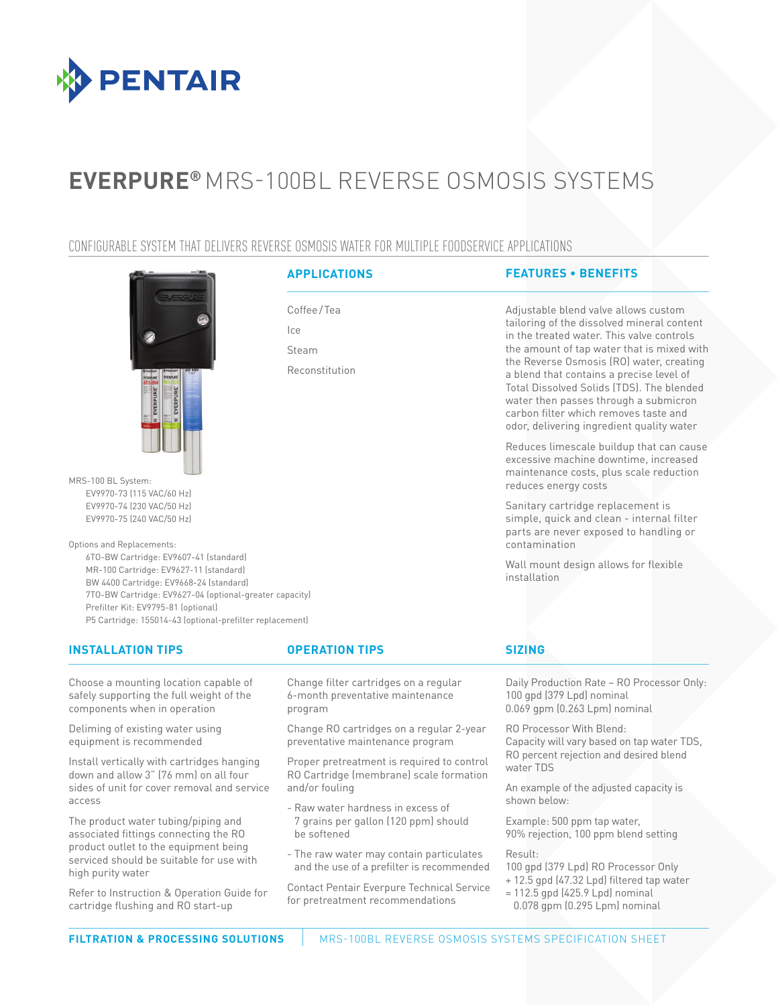

# **EVERPURE®** MRS-100BL REVERSE OSMOSIS SYSTEMS

# CONFIGURABLE SYSTEM THAT DELIVERS REVERSE OSMOSIS WATER FOR MULTIPLE FOODSERVICE APPLICATIONS

Coffee/Tea

Reconstitution

Ice Steam



MRS-100 BL System: EV9970-73 (115 VAC/60 Hz) EV9970-74 (230 VAC/50 Hz) EV9970-75 (240 VAC/50 Hz)

Options and Replacements:

6TO-BW Cartridge: EV9607-41 (standard) MR-100 Cartridge: EV9627-11 (standard) BW 4400 Cartridge: EV9668-24 (standard) 7TO-BW Cartridge: EV9627-04 (optional-greater capacity) Prefilter Kit: EV9795-81 (optional) P5 Cartridge: 155014-43 (optional-prefilter replacement)

## **INSTALLATION TIPS OPERATION TIPS SIZING**

Choose a mounting location capable of safely supporting the full weight of the components when in operation

Deliming of existing water using equipment is recommended

Install vertically with cartridges hanging down and allow 3" (76 mm) on all four sides of unit for cover removal and service access

The product water tubing/piping and associated fittings connecting the RO product outlet to the equipment being serviced should be suitable for use with high purity water

Refer to Instruction & Operation Guide for cartridge flushing and RO start-up

Change filter cartridges on a regular 6-month preventative maintenance program

Change RO cartridges on a regular 2-year preventative maintenance program

Proper pretreatment is required to control RO Cartridge (membrane) scale formation and/or fouling

- Raw water hardness in excess of 7 grains per gallon (120 ppm) should be softened
- The raw water may contain particulates and the use of a prefilter is recommended

Contact Pentair Everpure Technical Service for pretreatment recommendations

# **APPLICATIONS FEATURES • BENEFITS**

Adjustable blend valve allows custom tailoring of the dissolved mineral content in the treated water. This valve controls the amount of tap water that is mixed with the Reverse Osmosis (RO) water, creating a blend that contains a precise level of Total Dissolved Solids (TDS). The blended water then passes through a submicron carbon filter which removes taste and odor, delivering ingredient quality water

Reduces limescale buildup that can cause excessive machine downtime, increased maintenance costs, plus scale reduction reduces energy costs

Sanitary cartridge replacement is simple, quick and clean - internal filter parts are never exposed to handling or contamination

Wall mount design allows for flexible installation

Daily Production Rate – RO Processor Only: 100 gpd (379 Lpd) nominal 0.069 gpm (0.263 Lpm) nominal

RO Processor With Blend: Capacity will vary based on tap water TDS, RO percent rejection and desired blend water TDS

An example of the adjusted capacity is shown below:

Example: 500 ppm tap water, 90% rejection, 100 ppm blend setting

Result:

100 gpd (379 Lpd) RO Processor Only

- + 12.5 gpd (47.32 Lpd) filtered tap water
- $= 112.5$  gpd (425.9 Lpd) nominal
- 0.078 gpm (0.295 Lpm) nominal